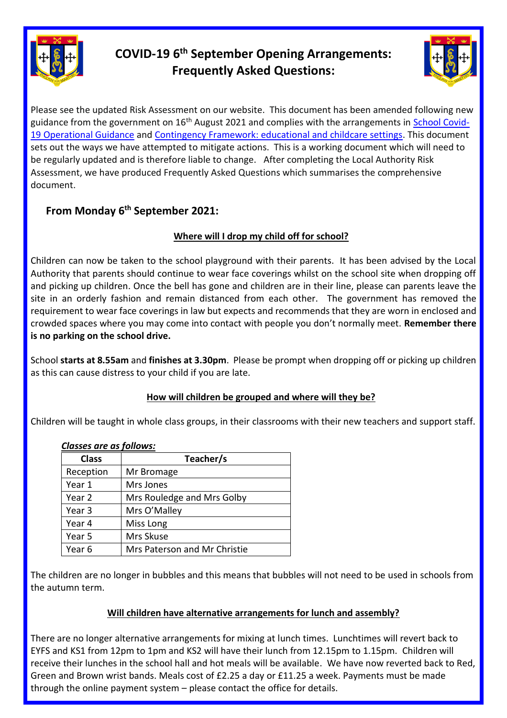

# **COVID-19 6 th September Opening Arrangements: Frequently Asked Questions:**



Please see the updated Risk Assessment on our website. This document has been amended following new guidance from the government on 16<sup>th</sup> August 2021 and complies with the arrangements in **School Covid-**[19 Operational Guidance](https://www.gov.uk/government/publications/actions-for-schools-during-the-coronavirus-outbreak/schools-covid-19-operational-guidance) and [Contingency Framework: educational and childcare settings.](https://assets.publishing.service.gov.uk/government/uploads/system/uploads/attachment_data/file/1011704/20210817_Contingency_Framework_FINAL.pdf) This document sets out the ways we have attempted to mitigate actions. This is a working document which will need to be regularly updated and is therefore liable to change. After completing the Local Authority Risk Assessment, we have produced Frequently Asked Questions which summarises the comprehensive document.

## **From Monday 6 th September 2021:**

## **Where will I drop my child off for school?**

Children can now be taken to the school playground with their parents. It has been advised by the Local Authority that parents should continue to wear face coverings whilst on the school site when dropping off and picking up children. Once the bell has gone and children are in their line, please can parents leave the site in an orderly fashion and remain distanced from each other. The government has removed the requirement to wear face coverings in law but expects and recommends that they are worn in enclosed and crowded spaces where you may come into contact with people you don't normally meet. **Remember there is no parking on the school drive.**

School **starts at 8.55am** and **finishes at 3.30pm**. Please be prompt when dropping off or picking up children as this can cause distress to your child if you are late.

## **How will children be grouped and where will they be?**

Children will be taught in whole class groups, in their classrooms with their new teachers and support staff.

| Classes are as follows: |                              |  |
|-------------------------|------------------------------|--|
| <b>Class</b>            | Teacher/s                    |  |
| Reception               | Mr Bromage                   |  |
| Year 1                  | Mrs Jones                    |  |
| Year 2                  | Mrs Rouledge and Mrs Golby   |  |
| Year <sub>3</sub>       | Mrs O'Malley                 |  |
| Year 4                  | Miss Long                    |  |
| Year 5                  | Mrs Skuse                    |  |
| Year 6                  | Mrs Paterson and Mr Christie |  |

## *Classes are as follows:*

The children are no longer in bubbles and this means that bubbles will not need to be used in schools from the autumn term.

## **Will children have alternative arrangements for lunch and assembly?**

There are no longer alternative arrangements for mixing at lunch times. Lunchtimes will revert back to EYFS and KS1 from 12pm to 1pm and KS2 will have their lunch from 12.15pm to 1.15pm. Children will receive their lunches in the school hall and hot meals will be available. We have now reverted back to Red, Green and Brown wrist bands. Meals cost of £2.25 a day or £11.25 a week. Payments must be made through the online payment system – please contact the office for details.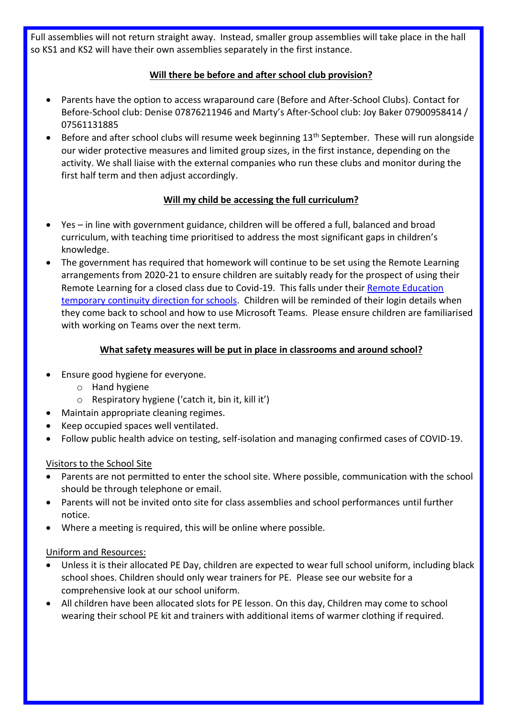Full assemblies will not return straight away. Instead, smaller group assemblies will take place in the hall so KS1 and KS2 will have their own assemblies separately in the first instance.

## **Will there be before and after school club provision?**

- Parents have the option to access wraparound care (Before and After-School Clubs). Contact for Before-School club: Denise 07876211946 and Marty's After-School club: Joy Baker 07900958414 / 07561131885
- Before and after school clubs will resume week beginning 13<sup>th</sup> September. These will run alongside our wider protective measures and limited group sizes, in the first instance, depending on the activity. We shall liaise with the external companies who run these clubs and monitor during the first half term and then adjust accordingly.

## **Will my child be accessing the full curriculum?**

- Yes in line with government guidance, children will be offered a full, balanced and broad curriculum, with teaching time prioritised to address the most significant gaps in children's knowledge.
- The government has required that homework will continue to be set using the Remote Learning arrangements from 2020-21 to ensure children are suitably ready for the prospect of using their Remote Learning for a closed class due to Covid-19. This falls under their [Remote Education](https://www.gov.uk/government/publications/remote-education-temporary-continuity-direction-explanatory-note?utm_source=31%20August%202021%20C19&utm_medium=Daily%20Email%20C19&utm_campaign=DfE%20C19)  [temporary continuity direction for schools.](https://www.gov.uk/government/publications/remote-education-temporary-continuity-direction-explanatory-note?utm_source=31%20August%202021%20C19&utm_medium=Daily%20Email%20C19&utm_campaign=DfE%20C19) Children will be reminded of their login details when they come back to school and how to use Microsoft Teams. Please ensure children are familiarised with working on Teams over the next term.

## **What safety measures will be put in place in classrooms and around school?**

- Ensure good hygiene for everyone.
	- o Hand hygiene
	- o Respiratory hygiene ('catch it, bin it, kill it')
- Maintain appropriate cleaning regimes.
- Keep occupied spaces well ventilated.
- Follow public health advice on testing, self-isolation and managing confirmed cases of COVID-19.

#### Visitors to the School Site

- Parents are not permitted to enter the school site. Where possible, communication with the school should be through telephone or email.
- Parents will not be invited onto site for class assemblies and school performances until further notice.
- Where a meeting is required, this will be online where possible.

#### Uniform and Resources:

- Unless it is their allocated PE Day, children are expected to wear full school uniform, including black school shoes. Children should only wear trainers for PE. Please see our website for a comprehensive look at our school uniform.
- All children have been allocated slots for PE lesson. On this day, Children may come to school wearing their school PE kit and trainers with additional items of warmer clothing if required.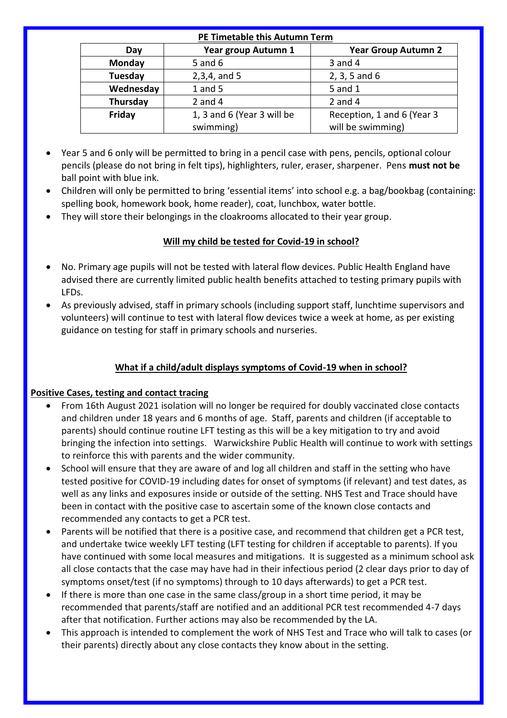#### **PE Timetable this Autumn Term**

| Day       | Year group Autumn 1        | <b>Year Group Autumn 2</b> |
|-----------|----------------------------|----------------------------|
| Monday    | $5$ and $6$                | 3 and 4                    |
| Tuesday   | $2,3,4,$ and 5             | $2, 3, 5$ and 6            |
| Wednesday | $1$ and $5$                | 5 and 1                    |
| Thursday  | 2 and $4$                  | 2 and $4$                  |
| Friday    | 1, 3 and 6 (Year 3 will be | Reception, 1 and 6 (Year 3 |
|           | swimming)                  | will be swimming)          |

- Year 5 and 6 only will be permitted to bring in a pencil case with pens, pencils, optional colour pencils (please do not bring in felt tips), highlighters, ruler, eraser, sharpener. Pens **must not be** ball point with blue ink.
- Children will only be permitted to bring 'essential items' into school e.g. a bag/bookbag (containing: spelling book, homework book, home reader), coat, lunchbox, water bottle.
- They will store their belongings in the cloakrooms allocated to their year group.

## **Will my child be tested for Covid-19 in school?**

- No. Primary age pupils will not be tested with lateral flow devices. Public Health England have advised there are currently limited public health benefits attached to testing primary pupils with LFDs.
- As previously advised, staff in primary schools (including support staff, lunchtime supervisors and volunteers) will continue to test with lateral flow devices twice a week at home, as per existing guidance on testing for staff in primary schools and nurseries.

## **What if a child/adult displays symptoms of Covid-19 when in school?**

## **Positive Cases, testing and contact tracing**

- From 16th August 2021 isolation will no longer be required for doubly vaccinated close contacts and children under 18 years and 6 months of age. Staff, parents and children (if acceptable to parents) should continue routine LFT testing as this will be a key mitigation to try and avoid bringing the infection into settings. Warwickshire Public Health will continue to work with settings to reinforce this with parents and the wider community.
- School will ensure that they are aware of and log all children and staff in the setting who have tested positive for COVID-19 including dates for onset of symptoms (if relevant) and test dates, as well as any links and exposures inside or outside of the setting. NHS Test and Trace should have been in contact with the positive case to ascertain some of the known close contacts and recommended any contacts to get a PCR test.
- Parents will be notified that there is a positive case, and recommend that children get a PCR test, and undertake twice weekly LFT testing (LFT testing for children if acceptable to parents). If you have continued with some local measures and mitigations. It is suggested as a minimum school ask all close contacts that the case may have had in their infectious period (2 clear days prior to day of symptoms onset/test (if no symptoms) through to 10 days afterwards) to get a PCR test.
- If there is more than one case in the same class/group in a short time period, it may be recommended that parents/staff are notified and an additional PCR test recommended 4-7 days after that notification. Further actions may also be recommended by the LA.
- This approach is intended to complement the work of NHS Test and Trace who will talk to cases (or their parents) directly about any close contacts they know about in the setting.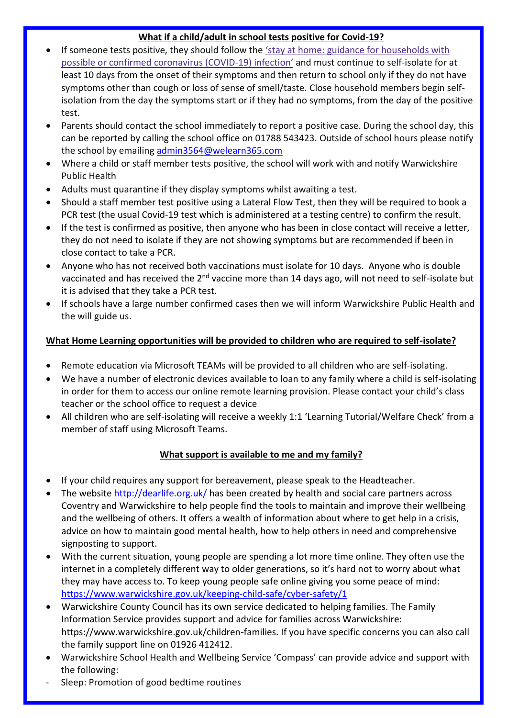## **What if a child/adult in school tests positive for Covid-19?**

- If someone tests positive, they should follow the 'stay at home: guidance for [households](https://www.gov.uk/government/publications/covid-19-stay-at-home-guidance) with possible or confirmed [coronavirus](https://www.gov.uk/government/publications/covid-19-stay-at-home-guidance) (COVID-19) infection' and must continue to self-isolate for at least 10 days from the onset of their symptoms and then return to school only if they do not have symptoms other than cough or loss of sense of smell/taste. Close household members begin selfisolation from the day the symptoms start or if they had no symptoms, from the day of the positive test.
- Parents should contact the school immediately to report a positive case. During the school day, this can be reported by calling the school office on 01788 543423. Outside of school hours please notify the school by emailing [admin3564@welearn365.com](mailto:admin3564@welearn365.com)
- Where a child or staff member tests positive, the school will work with and notify Warwickshire Public Health
- Adults must quarantine if they display symptoms whilst awaiting a test.
- Should a staff member test positive using a Lateral Flow Test, then they will be required to book a PCR test (the usual Covid-19 test which is administered at a testing centre) to confirm the result.
- If the test is confirmed as positive, then anyone who has been in close contact will receive a letter, they do not need to isolate if they are not showing symptoms but are recommended if been in close contact to take a PCR.
- Anyone who has not received both vaccinations must isolate for 10 days. Anyone who is double vaccinated and has received the 2<sup>nd</sup> vaccine more than 14 days ago, will not need to self-isolate but it is advised that they take a PCR test.
- If schools have a large number confirmed cases then we will inform Warwickshire Public Health and the will guide us.

## **What Home Learning opportunities will be provided to children who are required to self-isolate?**

- Remote education via Microsoft TEAMs will be provided to all children who are self-isolating.
- We have a number of electronic devices available to loan to any family where a child is self-isolating in order for them to access our online remote learning provision. Please contact your child's class teacher or the school office to request a device
- All children who are self-isolating will receive a weekly 1:1 'Learning Tutorial/Welfare Check' from a member of staff using Microsoft Teams.

## **What support is available to me and my family?**

- If your child requires any support for bereavement, please speak to the Headteacher.
- The website [http://dearlife.org.uk/](https://eur02.safelinks.protection.outlook.com/?url=http%3A%2F%2Fdearlife.org.uk%2F&data=04%7C01%7Cmabeljenkin-smith%40warwickshire.gov.uk%7Cd228799796704dc33f3f08d8b3e477e2%7C88b0aa0659274bbba89389cc2713ac82%7C0%7C0%7C637457141126159840%7CUnknown%7CTWFpbGZsb3d8eyJWIjoiMC4wLjAwMDAiLCJQIjoiV2luMzIiLCJBTiI6Ik1haWwiLCJXVCI6Mn0%3D%7C1000&sdata=FDOcD4gr8jFDdSXPmemqy5AaVumZ8tZZxCmguVr%2BmRs%3D&reserved=0) has been created by health and social care partners across Coventry and Warwickshire to help people find the tools to maintain and improve their wellbeing and the wellbeing of others. It offers a wealth of information about where to get help in a crisis, advice on how to maintain good mental health, how to help others in need and comprehensive signposting to support.
- With the current situation, young people are spending a lot more time online. They often use the internet in a completely different way to older generations, so it's hard not to worry about what they may have access to. To keep young people safe online giving you some peace of mind: <https://www.warwickshire.gov.uk/keeping-child-safe/cyber-safety/1>
- Warwickshire County Council has its own service dedicated to helping families. The Family Information Service provides support and advice for families across Warwickshire: https://www.warwickshire.gov.uk/children-families. If you have specific concerns you can also call the family support line on 01926 412412.
- Warwickshire School Health and Wellbeing Service 'Compass' can provide advice and support with the following:
- Sleep: Promotion of good bedtime routines